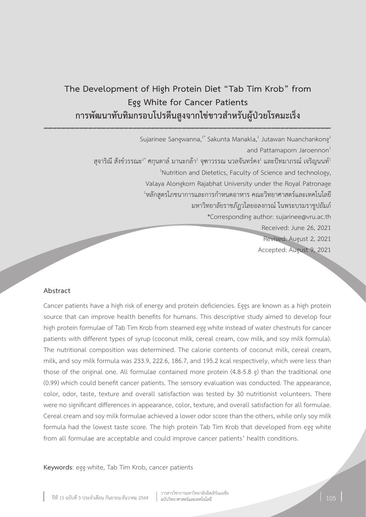# **The Development of High Protein Diet "Tab Tim Krob" from Egg White for Cancer Patients การพัฒนาทับทิมกรอบโปรตีนสูงจากไข่ขาวส�ำหรับผู้ป่วยโรคมะเร็ง**

Sujarinee Sangwanna, $1^*$  Sakunta Manakla, $1$  Jutawan Nuanchankong $1$ and Pattamaporn Jaroennon<sup>1</sup> สุจาริณี สังข์วรรณะ<sup>1</sup>\* ศกุนตาล์ มานะกล้า<sup>1</sup> จุฑาวรรณ นวลจันทร์คง<sup>1</sup> และปัทมาภรณ์ เจริญนนท์<sup>1</sup> <sup>1</sup>Nutrition and Dietetics, Faculty of Science and technology, Valaya Alongkorn Rajabhat University under the Royal Patronage <sup>1</sup>หลักสูตรโภชนาการและการกำหนดอาหาร คณะวิทยาศาสตร์และเทคโนโลยี มหาวิทยาลัยราชภัฏวไลยอลงกรณ์ ในพระบรมราชูปถัมภ์ \*Corresponding author: sujarinee@vru.ac.th Received: June 26, 2021 Revised: August 2, 2021

Accepted: August 9, 2021

# **Abstract**

Cancer patients have a high risk of energy and protein deficiencies. Eggs are known as a high protein source that can improve health benefits for humans. This descriptive study aimed to develop four high protein formulae of Tab Tim Krob from steamed egg white instead of water chestnuts for cancer patients with different types of syrup (coconut milk, cereal cream, cow milk, and soy milk formula). The nutritional composition was determined. The calorie contents of coconut milk, cereal cream, milk, and soy milk formula was 233.9, 222.6, 186.7, and 195.2 kcal respectively, which were less than those of the original one. All formulae contained more protein (4.8-5.8 g) than the traditional one (0.99) which could benefit cancer patients. The sensory evaluation was conducted. The appearance, color, odor, taste, texture and overall satisfaction was tested by 30 nutritionist volunteers. There were no significant differences in appearance, color, texture, and overall satisfaction for all formulae. Cereal cream and soy milk formulae achieved a lower odor score than the others, while only soy milk formula had the lowest taste score. The high protein Tab Tim Krob that developed from egg white from all formulae are acceptable and could improve cancer patients' health conditions.

**Keywords**: egg white, Tab Tim Krob, cancer patients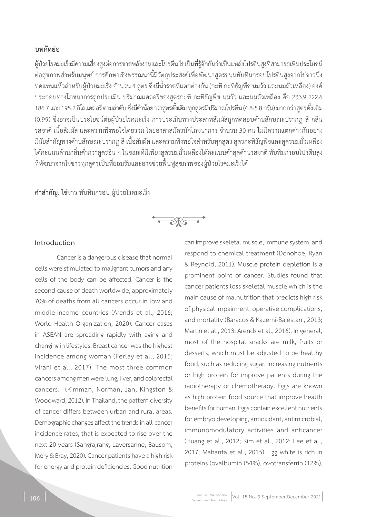# **บทคัดย่อ**

ผู้ป่วยโรคมะเร็งมีความเสี่ยงสูงต่อการขาดพลังงานและโปรตีน ไข่เป็นที่รู้จักกันว่าเป็นแหล่งโปรตีนสูงที่สามารถเพิ่มประโยชน์ ต่อสุขภาพสำหรับมนุษย์ การศึกษาเชิงพรรณนานี้มีวัตถุประสงค์เพื่อพัฒนาสูตรขนมทับทิมกรอบโปรตีนสูงจากไข่ขาวนึ่ง ทดแทนแห้วสำหรับผู้ป่วยมะเร็ง จำนวน 4 สูตร ซึ่งมีน้ำราดที่แตกต่างกัน (กะทิ กะทิธัญพืช นมวัว และนมถั่วเหลือง) องค์ ประกอบทางโภชนาการถูกประเมิน ปริมาณแคลอรีของสูตรกะทิ กะทิธัญพืช นมวัว และนมถั่วเหลือง คือ 233.9 222.6 186.7 และ 195.2 กิโลแคลอรี ตามลำดับ ซึ่งมีค่าน้อยกว่าสูตรดั้งเดิม ทุกสูตรมีปริมาณโปรตีน (4.8-5.8 กรัม) มากกว่าสูตรดั้งเดิม (0.99) ซึ่งอาจเป็นประโยชน์ต่อผู้ป่วยโรคมะเร็ง การประเมินทางประสาทสัมผัสถูกทดสอบด้านลักษณะปรากฎ สี กลิ่น รสชาติ เนื้อสัมผัส และความพึงพอใจโดยรวม โดยอาสาสมัครนักโภชนาการ จำนวน 30 คน ไม่มีความแตกต่างกันอย่าง ้ มีนัยสำคัญทางด้านลักษณะปรากฏ สี เนื้อสัมผัส และความพึงพอใจสำหรับทุกสูตร สูตรกะทิธัญพืชและสูตรนมถั่วเหลือง ได้คะแนนด้านกลิ่นต่ำกว่าสูตรอื่น ๆ ในขณะที่มีเพียงสูตรนมถั่วเหลืองได้คะแนนต่ำสุดด้านรสชาติ ทับทิมกรอบโปรตีนสง ที่พัฒนาจากไข่ขาวทุกสูตรเป็นที่ยอมรับและอาจช่วยฟื้นฟูสุขภาพของผู้ป่วยโรคมะเร็งได้

**ค�ำส�ำคัญ**: ไข่ขาว ทับทิมกรอบ ผู้ป่วยโรคมะเร็ง

 $\mathbb{R}$ 

## **Introduction**

Cancer is a dangerous disease that normal cells were stimulated to malignant tumors and any cells of the body can be affected. Cancer is the second cause of death worldwide, approximately 70% of deaths from all cancers occur in low and middle-income countries (Arends et al., 2016; World Health Organization, 2020). Cancer cases in ASEAN are spreading rapidly with aging and changing in lifestyles. Breast cancer was the highest incidence among woman (Ferlay et al., 2015; Virani et al., 2017). The most three common cancers among men were lung, liver, and colorectal cancers. (Kimman, Norman, Jan, Kingston & Woodward, 2012). In Thailand, the pattern diversity of cancer differs between urban and rural areas. Demographic changes affect the trends in all-cancer incidence rates, that is expected to rise over the next 20 years (Sangrajrang, Laversanne, Bausom, Mery & Bray, 2020). Cancer patients have a high risk for energy and protein deficiencies. Good nutrition

can improve skeletal muscle, immune system, and respond to chemical treatment (Donohoe, Ryan & Reynold, 2011). Muscle protein depletion is a prominent point of cancer. Studies found that cancer patients loss skeletal muscle which is the main cause of malnutrition that predicts high risk of physical impairment, operative complications, and mortality (Baracos & Kazemi-Bajestani, 2013; Martin et al., 2013; Arends et al., 2016). In general, most of the hospital snacks are milk, fruits or desserts, which must be adjusted to be healthy food, such as reducing sugar, increasing nutrients or high protein for improve patients during the radiotherapy or chemotherapy. Eggs are known as high protein food source that improve health benefits for human. Eggs contain excellent nutrients for embryo developing, antioxidant, antimicrobial, immunomodulatory activities and anticancer (Huang et al., 2012; Kim et al., 2012; Lee et al., 2017; Mahanta et al., 2015). Egg white is rich in proteins (ovalbumin (54%), ovotransferrin (12%),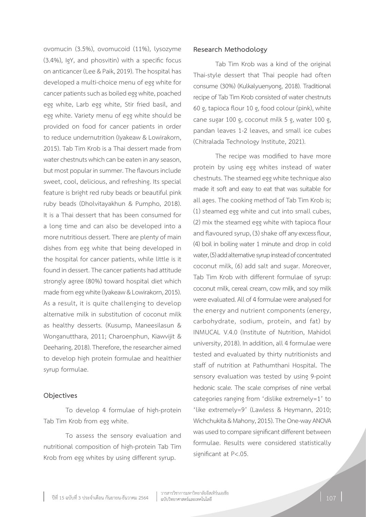ovomucin (3.5%), ovomucoid (11%), lysozyme (3.4%), IgY, and phosvitin) with a specific focus on anticancer (Lee & Paik, 2019). The hospital has developed a multi-choice menu of egg white for cancer patients such as boiled egg white, poached egg white, Larb egg white, Stir fried basil, and egg white. Variety menu of egg white should be provided on food for cancer patients in order to reduce undernutrition (Iyakeaw & Lowirakorn, 2015). Tab Tim Krob is a Thai dessert made from water chestnuts which can be eaten in any season, but most popular in summer. The flavours include sweet, cool, delicious, and refreshing. Its special feature is bright red ruby beads or beautiful pink ruby beads (Dholvitayakhun & Pumpho, 2018). It is a Thai dessert that has been consumed for a long time and can also be developed into a more nutritious dessert. There are plenty of main dishes from egg white that being developed in the hospital for cancer patients, while little is it found in dessert. The cancer patients had attitude strongly agree (80%) toward hospital diet which made from egg white (Iyakeaw & Lowirakorn, 2015). As a result, it is quite challenging to develop alternative milk in substitution of coconut milk as healthy desserts. (Kusump, Maneesilasun & Wonganutthara, 2011; Charoenphun, Kiawvijit & Deeharing, 2018). Therefore, the researcher aimed to develop high protein formulae and healthier syrup formulae.

# **Objectives**

To develop 4 formulae of high-protein Tab Tim Krob from egg white.

To assess the sensory evaluation and nutritional composition of high-protein Tab Tim Krob from egg whites by using different syrup.

## **Research Methodology**

Tab Tim Krob was a kind of the original Thai-style dessert that Thai people had often consume (30%) (Kulkalyuenyong, 2018). Traditional recipe of Tab Tim Krob consisted of water chestnuts 60 g, tapioca flour 10 g, food colour (pink), white cane sugar 100 g, coconut milk 5 g, water 100 g, pandan leaves 1-2 leaves, and small ice cubes (Chitralada Technology Institute, 2021).

The recipe was modified to have more protein by using egg whites instead of water chestnuts. The steamed egg white technique also made it soft and easy to eat that was suitable for all ages. The cooking method of Tab Tim Krob is; (1) steamed egg white and cut into small cubes, (2) mix the steamed egg white with tapioca flour and flavoured syrup, (3) shake off any excess flour, (4) boil in boiling water 1 minute and drop in cold water, (5) add alternative syrup instead of concentrated coconut milk, (6) add salt and sugar. Moreover, Tab Tim Krob with different formulae of syrup: coconut milk, cereal cream, cow milk, and soy milk were evaluated. All of 4 formulae were analysed for the energy and nutrient components (energy, carbohydrate, sodium, protein, and fat) by INMUCAL V.4.0 (Institute of Nutrition, Mahidol university, 2018). In addition, all 4 formulae were tested and evaluated by thirty nutritionists and staff of nutrition at Pathumthani Hospital. The sensory evaluation was tested by using 9-point hedonic scale. The scale comprises of nine verbal categories ranging from 'dislike extremely=1' to 'like extremely=9' (Lawless & Heymann, 2010; Wichchukita & Mahony, 2015). The One-way ANOVA was used to compare significant different between formulae. Results were considered statistically significant at P<.05.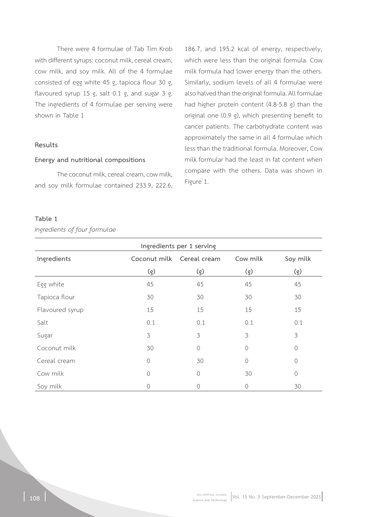There were 4 formulae of Tab Tim Krob with different syrups: coconut milk, cereal cream, cow milk, and soy milk. All of the 4 formulae consisted of egg white 45 g, tapioca flour 30 g, flavoured syrup 15 g, salt 0.1 g, and sugar 3 g. The ingredients of 4 formulae per serving were shown in Table 1

# **Results**

#### **Energy and nutritional compositions**

The coconut milk, cereal cream, cow milk, and soy milk formulae contained 233.9, 222.6, 186.7, and 195.2 kcal of energy, respectively, which were less than the original formula. Cow milk formula had lower energy than the others. Similarly, sodium levels of all 4 formulae were also halved than the original formula. All formulae had higher protein content (4.8-5.8 g) than the original one (0.9 g), which presenting benefit to cancer patients. The carbohydrate content was approximately the same in all 4 formulae which less than the traditional formula. Moreover, Cow milk formular had the least in fat content when compare with the others. Data was shown in Figure 1.

# **Table 1**

# *Ingredients of four formulae*

| Ingredients per 1 serving |              |              |                |            |  |  |  |  |
|---------------------------|--------------|--------------|----------------|------------|--|--|--|--|
| Ingredients               | Coconut milk | Cereal cream | Cow milk       | Soy milk   |  |  |  |  |
|                           | (g)          | (g)          | (g)            | (g)        |  |  |  |  |
| Egg white                 | 45           | 45           | 45             | 45         |  |  |  |  |
| Tapioca flour             | 30           | 30           | 30             | 30         |  |  |  |  |
| Flavoured syrup           | 15           | 15           | 15             | 15         |  |  |  |  |
| Salt                      | 0.1          | 0.1          | 0.1            | 0.1        |  |  |  |  |
| Sugar                     | 3            | 3            | 3              | 3          |  |  |  |  |
| Coconut milk              | 30           | $\circ$      | $\overline{0}$ | 0          |  |  |  |  |
| Cereal cream              | $\Omega$     | 30           | $\bigcap$      | 0          |  |  |  |  |
| Cow milk                  | $\Omega$     | $\circ$      | 30             | $\bigcirc$ |  |  |  |  |
| Soy milk                  | $\Omega$     | 0            | $\mathcal{O}$  | 30         |  |  |  |  |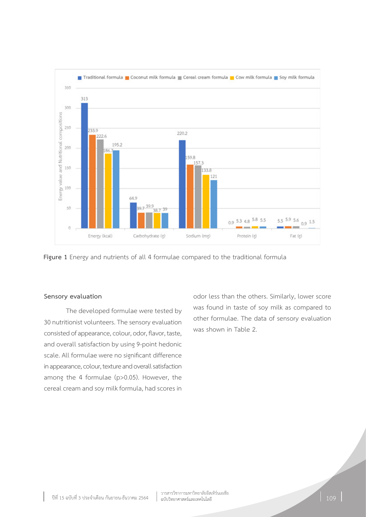

**Figure 1** Energy and nutrients of all 4 formulae compared to the traditional formula

#### **Sensory evaluation**

The developed formulae were tested by 30 nutritionist volunteers. The sensory evaluation consisted of appearance, colour, odor, flavor, taste, and overall satisfaction by using 9-point hedonic scale. All formulae were no significant difference in appearance, colour, texture and overall satisfaction among the 4 formulae (p>0.05). However, the cereal cream and soy milk formula, had scores in odor less than the others. Similarly, lower score was found in taste of soy milk as compared to other formulae. The data of sensory evaluation was shown in Table 2.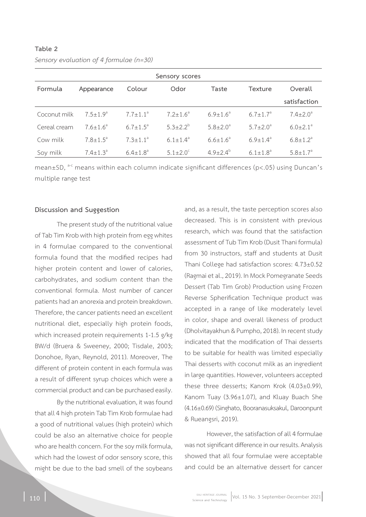| Sensory scores |                       |                            |                            |                       |                            |                            |  |  |  |
|----------------|-----------------------|----------------------------|----------------------------|-----------------------|----------------------------|----------------------------|--|--|--|
| Formula        | Appearance            | Colour                     | Odor                       | Taste                 | <b>Texture</b>             | Overall                    |  |  |  |
|                |                       |                            |                            |                       |                            | satisfaction               |  |  |  |
| Coconut milk   | $7.5 + 1.9a$          | $7.7 \pm 1.1^a$            | $7.2 \pm 1.6^{\circ}$      | $6.9 \pm 1.6^{\circ}$ | $6.7 \pm 1.7^a$            | $7.4 \pm 2.0^a$            |  |  |  |
| Cereal cream   | $7.6 + 1.6^d$         | $6.7 \pm 1.5^{\circ}$      | $5.3 \pm 2.2^b$            | $5.8 \pm 2.0^{\circ}$ | $5.7 \pm 2.0^{\circ}$      | $6.0 \pm 2.1$ <sup>a</sup> |  |  |  |
| Cow milk       | $7.8 \pm 1.5^{\circ}$ | $7.3 \pm 1.1$ <sup>a</sup> | $6.1 \pm 1.4$ <sup>a</sup> | $6.6 \pm 1.6^{\circ}$ | $6.9 \pm 1.4$ <sup>a</sup> | $6.8 \pm 1.2$ <sup>a</sup> |  |  |  |
| Soy milk       | $7.4 + 1.3a$          | $6.4 \pm 1.8$ <sup>a</sup> | $5.1 \pm 2.0^{\circ}$      | $4.9 \pm 2.4^{\circ}$ | $6.1 \pm 1.8$ <sup>a</sup> | $5.8 \pm 1.7^a$            |  |  |  |

**Table 2**  *Sensory evaluation of 4 formulae (n=30)*

mean±SD, <sup>a-c</sup> means within each column indicate significant differences (p<.05) using Duncan's multiple range test

#### **Discussion and Suggestion**

The present study of the nutritional value of Tab Tim Krob with high protein from egg whites in 4 formulae compared to the conventional formula found that the modified recipes had higher protein content and lower of calories, carbohydrates, and sodium content than the conventional formula. Most number of cancer patients had an anorexia and protein breakdown. Therefore, the cancer patients need an excellent nutritional diet, especially high protein foods, which increased protein requirements 1-1.5 g/kg BW/d (Bruera & Sweeney, 2000; Tisdale, 2003; Donohoe, Ryan, Reynold, 2011). Moreover, The different of protein content in each formula was a result of different syrup choices which were a commercial product and can be purchased easily.

By the nutritional evaluation, it was found that all 4 high protein Tab Tim Krob formulae had a good of nutritional values (high protein) which could be also an alternative choice for people who are health concern. For the soy milk formula, which had the lowest of odor sensory score, this might be due to the bad smell of the soybeans

and, as a result, the taste perception scores also decreased. This is in consistent with previous research, which was found that the satisfaction assessment of Tub Tim Krob (Dusit Thani formula) from 30 instructors, staff and students at Dusit Thani College had satisfaction scores: 4.73±0.52 (Ragmai et al., 2019). In Mock Pomegranate Seeds Dessert (Tab Tim Grob) Production using Frozen Reverse Spherification Technique product was accepted in a range of like moderately level in color, shape and overall likeness of product (Dholvitayakhun & Pumpho, 2018). In recent study indicated that the modification of Thai desserts to be suitable for health was limited especially Thai desserts with coconut milk as an ingredient in large quantities. However, volunteers accepted these three desserts; Kanom Krok (4.03±0.99), Kanom Tuay (3.96±1.07), and Kluay Buach She (4.16±0.69) (Singhato, Booranasuksakul, Daroonpunt & Rueangsri, 2019).

However, the satisfaction of all 4 formulae was not significant difference in our results. Analysis showed that all four formulae were acceptable and could be an alternative dessert for cancer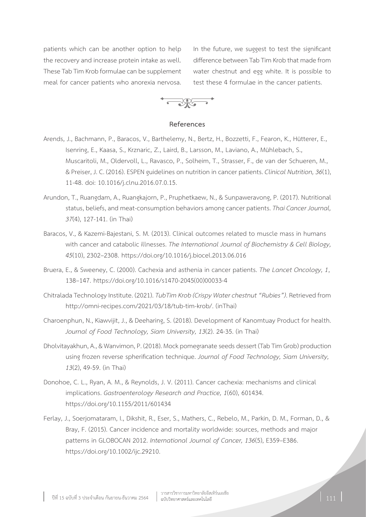patients which can be another option to help the recovery and increase protein intake as well. These Tab Tim Krob formulae can be supplement meal for cancer patients who anorexia nervosa.

In the future, we suggest to test the significant difference between Tab Tim Krob that made from water chestnut and egg white. It is possible to test these 4 formulae in the cancer patients.

**TAGE** 

## **References**

- Arends, J., Bachmann, P., Baracos, V., Barthelemy, N., Bertz, H., Bozzetti, F., Fearon, K., Hütterer, E., Isenring, E., Kaasa, S., Krznaric, Z., Laird, B., Larsson, M., Laviano, A., Mühlebach, S., Muscaritoli, M., Oldervoll, L., Ravasco, P., Solheim, T., Strasser, F., de van der Schueren, M., & Preiser, J. C. (2016). ESPEN guidelines on nutrition in cancer patients. *Clinical Nutrition, 36*(1), 11-48. doi: 10.1016/j.clnu.2016.07.0.15.
- Arundon, T., Ruangdam, A., Ruangkajorn, P., Pruphetkaew, N., & Sunpaweravong, P. (2017). Nutritional status, beliefs, and meat-consumption behaviors among cancer patients. *Thai Cancer Journal, 37*(4), 127-141. (in Thai)
- Baracos, V., & Kazemi-Bajestani, S. M. (2013). Clinical outcomes related to muscle mass in humans with cancer and catabolic illnesses. *The International Journal of Biochemistry & Cell Biology, 45*(10), 2302–2308. https://doi.org/10.1016/j.biocel.2013.06.016
- Bruera, E., & Sweeney, C. (2000). Cachexia and asthenia in cancer patients. *The Lancet Oncology, 1*, 138–147. https://doi.org/10.1016/s1470-2045(00)00033-4
- Chitralada Technology Institute. (2021). *TubTim Krob (Crispy Water chestnut "Rubies")*. Retrieved from http://omni-recipes.com/2021/03/18/tub-tim-krob/. (inThai)
- Charoenphun, N., Kiawvijit, J., & Deeharing, S. (2018). Development of Kanomtuay Product for health. *Journal of Food Technology, Siam University, 13*(2). 24-35. (in Thai)
- Dholvitayakhun, A., & Wanvimon, P. (2018). Mock pomegranate seeds dessert (Tab Tim Grob) production using frozen reverse spherification technique. *Journal of Food Technology, Siam University, 13*(2), 49-59. (in Thai)
- Donohoe, C. L., Ryan, A. M., & Reynolds, J. V. (2011). Cancer cachexia: mechanisms and clinical implications. *Gastroenterology Research and Practice, 1*(60), 601434. https://doi.org/10.1155/2011/601434
- Ferlay, J., Soerjomataram, I., Dikshit, R., Eser, S., Mathers, C., Rebelo, M., Parkin, D. M., Forman, D., & Bray, F. (2015). Cancer incidence and mortality worldwide: sources, methods and major patterns in GLOBOCAN 2012. *International Journal of Cancer, 136*(5), E359–E386. https://doi.org/10.1002/ijc.29210.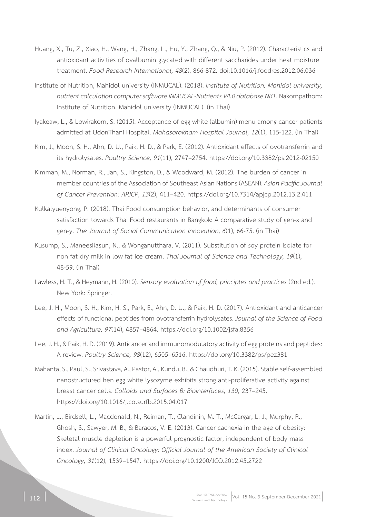- Huang, X., Tu, Z., Xiao, H., Wang, H., Zhang, L., Hu, Y., Zhang, Q., & Niu, P. (2012). Characteristics and antioxidant activities of ovalbumin glycated with different saccharides under heat moisture treatment. *Food Research International, 48*(2), 866-872. doi:10.1016/j.foodres.2012.06.036
- Institute of Nutrition, Mahidol university (INMUCAL). (2018). *Institute of Nutrition, Mahidol university, nutrient calculation computer software INMUCAL-Nutrients V4.0 database NB1*. Nakornpathom: Institute of Nutrition, Mahidol university (INMUCAL). (in Thai)
- Iyakeaw, L., & Lowirakorn, S. (2015). Acceptance of egg white (albumin) menu among cancer patients admitted at UdonThani Hospital. *Mahasarakham Hospital Journal, 12*(1), 115-122. (in Thai)
- Kim, J., Moon, S. H., Ahn, D. U., Paik, H. D., & Park, E. (2012). Antioxidant effects of ovotransferrin and its hydrolysates. *Poultry Science, 91*(11), 2747–2754. https://doi.org/10.3382/ps.2012-02150
- Kimman, M., Norman, R., Jan, S., Kingston, D., & Woodward, M. (2012). The burden of cancer in member countries of the Association of Southeast Asian Nations (ASEAN). *Asian Pacific Journal of Cancer Prevention: APJCP, 13*(2), 411–420. https://doi.org/10.7314/apjcp.2012.13.2.411
- Kulkalyuenyong, P. (2018). Thai Food consumption behavior, and determinants of consumer satisfaction towards Thai Food restaurants in Bangkok: A comparative study of gen-x and gen-y. *The Journal of Social Communication Innovation, 6*(1), 66-75. (in Thai)
- Kusump, S., Maneesilasun, N., & Wonganutthara, V. (2011). Substitution of soy protein isolate for non fat dry milk in low fat ice cream. *Thai Journal of Science and Technology, 19*(1), 48-59. (in Thai)
- Lawless, H. T., & Heymann, H. (2010). *Sensory evaluation of food, principles and practices* (2nd ed.). New York: Springer.
- Lee, J. H., Moon, S. H., Kim, H. S., Park, E., Ahn, D. U., & Paik, H. D. (2017). Antioxidant and anticancer effects of functional peptides from ovotransferrin hydrolysates. *Journal of the Science of Food and Agriculture, 97*(14), 4857–4864. https://doi.org/10.1002/jsfa.8356
- Lee, J. H., & Paik, H. D. (2019). Anticancer and immunomodulatory activity of egg proteins and peptides: A review. *Poultry Science, 98*(12), 6505–6516. https://doi.org/10.3382/ps/pez381
- Mahanta, S., Paul, S., Srivastava, A., Pastor, A., Kundu, B., & Chaudhuri, T. K. (2015). Stable self-assembled nanostructured hen egg white lysozyme exhibits strong anti-proliferative activity against breast cancer cells. *Colloids and Surfaces B: Biointerfaces, 130*, 237–245. https://doi.org/10.1016/j.colsurfb.2015.04.017
- Martin, L., Birdsell, L., Macdonald, N., Reiman, T., Clandinin, M. T., McCargar, L. J., Murphy, R., Ghosh, S., Sawyer, M. B., & Baracos, V. E. (2013). Cancer cachexia in the age of obesity: Skeletal muscle depletion is a powerful prognostic factor, independent of body mass index. *Journal of Clinical Oncology: Official Journal of the American Society of Clinical Oncology, 31*(12), 1539–1547. https://doi.org/10.1200/JCO.2012.45.2722